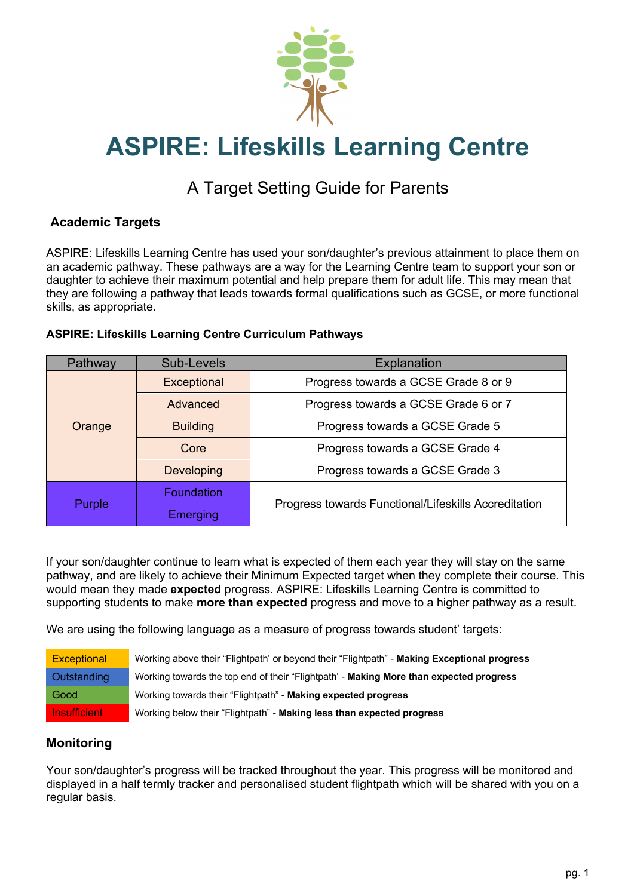

# **ASPIRE: Lifeskills Learning Centre**

# A Target Setting Guide for Parents

# **Academic Targets**

ASPIRE: Lifeskills Learning Centre has used your son/daughter's previous attainment to place them on an academic pathway. These pathways are a way for the Learning Centre team to support your son or daughter to achieve their maximum potential and help prepare them for adult life. This may mean that they are following a pathway that leads towards formal qualifications such as GCSE, or more functional skills, as appropriate.

#### **ASPIRE: Lifeskills Learning Centre Curriculum Pathways**

| Pathway | Sub-Levels        | Explanation                                          |
|---------|-------------------|------------------------------------------------------|
| Orange  | Exceptional       | Progress towards a GCSE Grade 8 or 9                 |
|         | Advanced          | Progress towards a GCSE Grade 6 or 7                 |
|         | <b>Building</b>   | Progress towards a GCSE Grade 5                      |
|         | Core              | Progress towards a GCSE Grade 4                      |
|         | <b>Developing</b> | Progress towards a GCSE Grade 3                      |
| Purple  | <b>Foundation</b> | Progress towards Functional/Lifeskills Accreditation |
|         | Emerging          |                                                      |

If your son/daughter continue to learn what is expected of them each year they will stay on the same pathway, and are likely to achieve their Minimum Expected target when they complete their course. This would mean they made **expected** progress. ASPIRE: Lifeskills Learning Centre is committed to supporting students to make **more than expected** progress and move to a higher pathway as a result.

We are using the following language as a measure of progress towards student' targets:

| Exceptional         | Working above their "Flightpath' or beyond their "Flightpath" - Making Exceptional progress |  |
|---------------------|---------------------------------------------------------------------------------------------|--|
| Outstanding         | Working towards the top end of their "Flightpath' - Making More than expected progress      |  |
| Good                | Working towards their "Flightpath" - Making expected progress                               |  |
| <b>Insufficient</b> | Working below their "Flightpath" - Making less than expected progress                       |  |

#### **Monitoring**

Your son/daughter's progress will be tracked throughout the year. This progress will be monitored and displayed in a half termly tracker and personalised student flightpath which will be shared with you on a regular basis.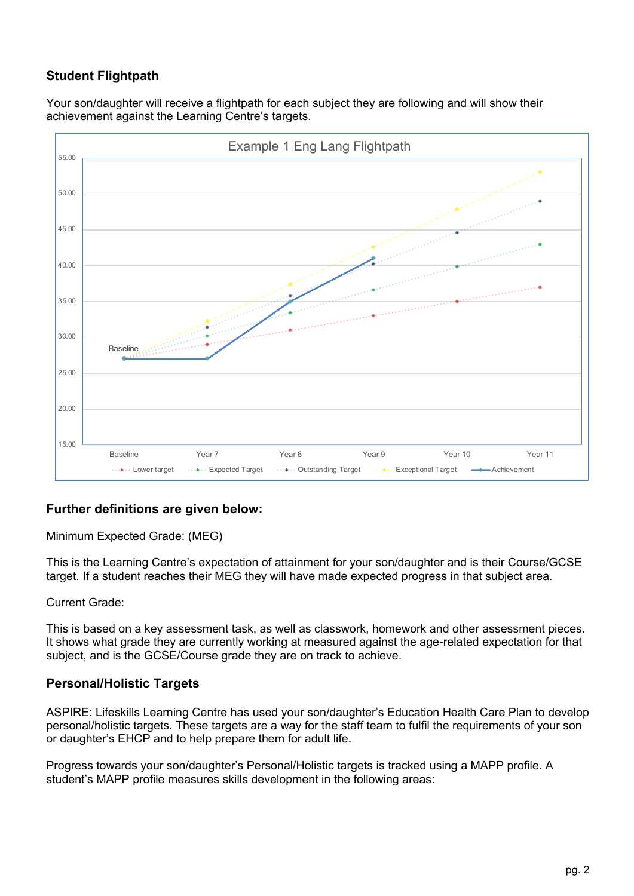# **Student Flightpath**

Your son/daughter will receive a flightpath for each subject they are following and will show their achievement against the Learning Centre's targets.



# **Further definitions are given below:**

Minimum Expected Grade: (MEG)

This is the Learning Centre's expectation of attainment for your son/daughter and is their Course/GCSE target. If a student reaches their MEG they will have made expected progress in that subject area.

#### Current Grade:

This is based on a key assessment task, as well as classwork, homework and other assessment pieces. It shows what grade they are currently working at measured against the age-related expectation for that subject, and is the GCSE/Course grade they are on track to achieve.

#### **Personal/Holistic Targets**

ASPIRE: Lifeskills Learning Centre has used your son/daughter's Education Health Care Plan to develop personal/holistic targets. These targets are a way for the staff team to fulfil the requirements of your son or daughter's EHCP and to help prepare them for adult life.

Progress towards your son/daughter's Personal/Holistic targets is tracked using a MAPP profile. A student's MAPP profile measures skills development in the following areas: